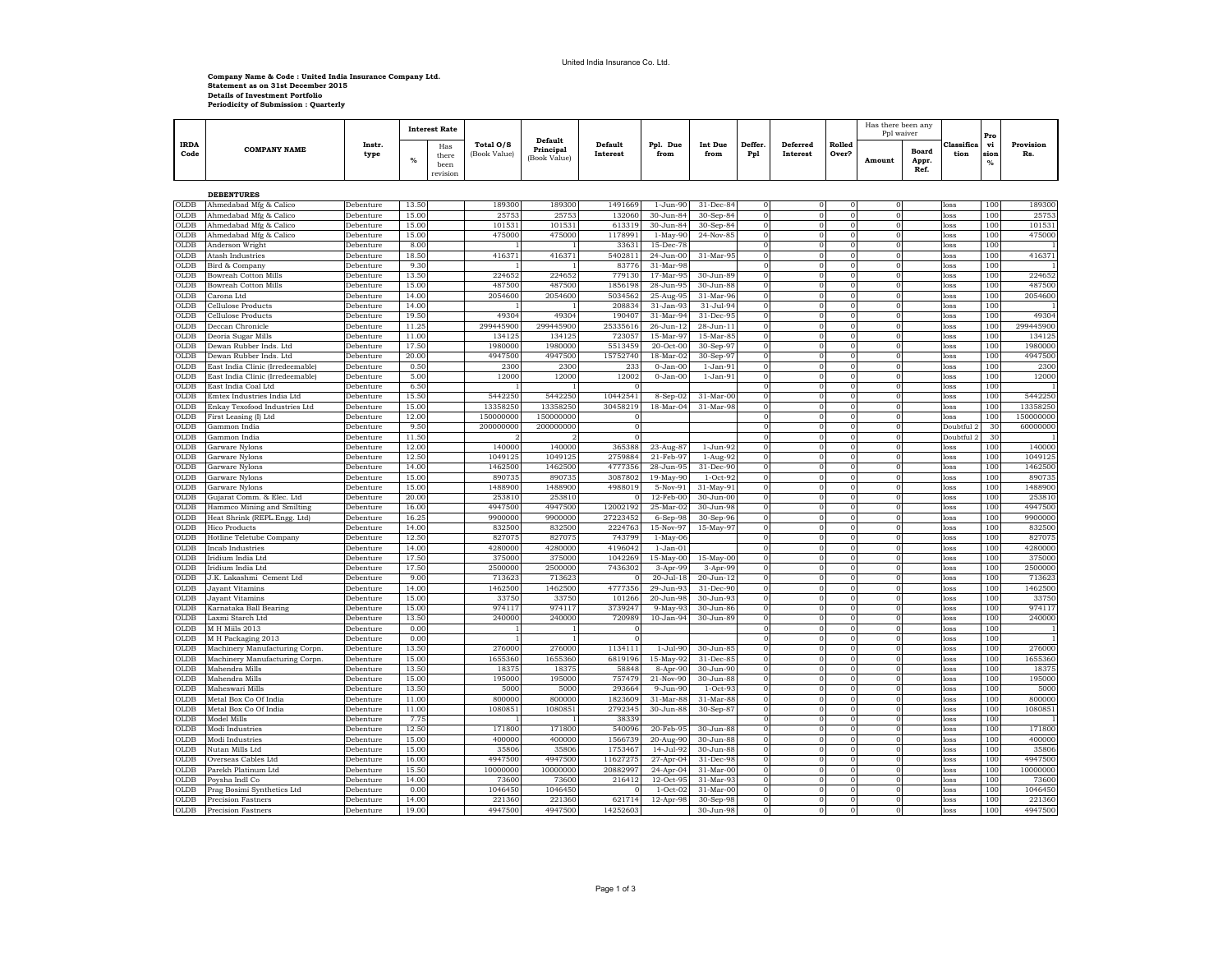## **Company Name & Code : United India Insurance Company Ltd. Statement as on 31st December 2015 Details of Investment Portfolio Periodicity of Submission : Quarterly**

|                     | <b>COMPANY NAME</b>                                        |                        |                | <b>Interest Rate</b>             |                           |                                      |                            |                        |                        |               |                      | Rolled<br>Over?      | Has there been any<br>Ppl waiver |                               |                    | Pro                    |                   |
|---------------------|------------------------------------------------------------|------------------------|----------------|----------------------------------|---------------------------|--------------------------------------|----------------------------|------------------------|------------------------|---------------|----------------------|----------------------|----------------------------------|-------------------------------|--------------------|------------------------|-------------------|
| <b>IRDA</b><br>Code |                                                            | Instr.<br>type         | %              | Has<br>there<br>been<br>revision | Total O/S<br>(Book Value) | Default<br>Principal<br>(Book Value) | <b>Default</b><br>Interest | Ppl. Due<br>from       | Int Due<br>from        | Deffer<br>Pp1 | Deferred<br>Interest |                      | Amount                           | <b>Board</b><br>Appr.<br>Ref. | Classifica<br>tion | vi<br>sion<br>%        | Provision<br>Rs.  |
|                     |                                                            |                        |                |                                  |                           |                                      |                            |                        |                        |               |                      |                      |                                  |                               |                    |                        |                   |
| OLDB                | <b>DEBENTURES</b><br>Ahmedabad Mfg & Calico                | Debenture              | 13.50          |                                  | 189300                    | 189300                               | 1491669                    | 1-Jun-90               | 31-Dec-84              |               |                      |                      |                                  |                               | oss                | 100                    | 189300            |
| OLDB                | Ahmedabad Mfg & Calico                                     | Debenture              | 15.00          |                                  | 2575                      | 2575                                 | 132060                     | 30-Jun-84              | 30-Sep-84              |               |                      | $\Omega$             | $\mathbf{0}$                     |                               | oss                | 100                    | 2575              |
| OLDB                | Ahmedabad Mfg & Calico                                     | Debenture              | 15.00          |                                  | 10153                     | 10153                                | 613319                     | 30-Jun-84              | 30-Sep-84              |               | $\mathbf 0$          | $\Omega$             | $\Omega$                         |                               | loss               | 100                    | 101531            |
| $_{0}$ LDB          | Ahmedabad Mfg & Calico                                     | Debenture              | 15.00          |                                  | 47500                     | 475000                               | 1178991                    | $1-May-90$             | 24-Nov-85              |               | $\Omega$             | $\Omega$             | $\mathbf{0}$                     |                               | loss               | 100                    | 475000            |
| OLDB                | Anderson Wright                                            | Debenture              | 8.00           |                                  |                           |                                      | 3363                       | 15-Dec-7               |                        |               |                      |                      | $\Omega$                         |                               | oss                | 100                    |                   |
| 0LDB                | <b>Atash Industries</b>                                    | Debenture              | 18.50          |                                  | 41637                     | 41637                                | 540281                     | 24-Jun-00              | 31-Mar-95              |               | $\Omega$             | $\Omega$             | $\Omega$                         |                               | loss               | 100                    | 41637             |
| $_{\text{OLDB}}$    | Bird & Company                                             | Debenture              | 9.30           |                                  |                           |                                      | 83776                      | $31-Mar-98$            |                        |               |                      |                      | $\Omega$                         |                               | loss               | 100                    |                   |
| OLDB                | Bowreah Cotton Mills                                       | Debenture              | 13.50          |                                  | 22465                     | 22465                                | 779130                     | 17-Mar-95              | 30-Jun-8               |               |                      |                      |                                  |                               | oss                | 100                    | 224652            |
| OLDB<br><b>DLDB</b> | Bowreah Cotton Mills<br>Carona Ltd                         | Debenture<br>Debenture | 15.00<br>14.00 |                                  | 48750<br>2054600          | 48750<br>2054600                     | 1856198<br>5034562         | 28-Jun-95<br>25-Aug-95 | 30-Jun-88<br>31-Mar-96 |               | $\Omega$             | $\Omega$             | $\Omega$                         |                               | oss<br>loss        | 100<br>100             | 487500<br>2054600 |
| OLDB                | Cellulose Products                                         | Debenture              | 14.00          |                                  |                           |                                      | 208834                     | 31-Jan-93              | 31-Jul-94              | $\Omega$      | $\mathbf 0$          | $\Omega$             | $\Omega$                         |                               | oss                | 100                    |                   |
| OLDB                | Cellulose Products                                         | Debenture              | 19.50          |                                  | 4930                      | 4930                                 | 190407                     | $31-Mar-94$            | 31-Dec-95              |               | $\Omega$             | $\Omega$             | $\Omega$                         |                               | loss               | 100                    | 49304             |
| OLDB                | Deccan Chronicle                                           | Debenture              | 11.25          |                                  | 29944590                  | 299445900                            | 25335616                   | 26-Jun-12              | 28-Jun-11              |               | $\Omega$             | $\Omega$             | $\Omega$                         |                               | loss               | 100                    | 299445900         |
| OLDB                | Deoria Sugar Mills                                         | Debenture              | 11.00          |                                  | 134125                    | 13412                                | 723057                     | 15-Mar-97              | 15-Mar-85              |               | $\mathbf 0$          | $\Omega$             | $\mathbf{0}$                     |                               | loss               | 100                    | 134125            |
| OLDB                | Dewan Rubber Inds. Ltd                                     | Debenture              | 17.50          |                                  | 198000                    | 198000                               | 5513459                    | 20-Oct-00              | 30-Sep-97              |               | $\Omega$             | $\Omega$             | $\Omega$                         |                               | loss               | 100                    | 1980000           |
| OLDB                | Dewan Rubber Inds. Ltd                                     | Debenture              | 20.00          |                                  | 4947500                   | 4947500                              | 15752740                   | 18-Mar-02              | 30-Sep-97              |               | $\Omega$             | $\Omega$             | $\Omega$                         |                               | loss               | 100                    | 4947500           |
| OLDB                | East India Clinic (Irredeemable)                           | Debenture              | 0.50           |                                  | 230                       | 230                                  | 233                        | $0 - Jan-00$           | $1-Jan-91$             | 0             | $\mathbf 0$          | $\Omega$             | $\mathbf{0}$                     |                               | loss               | 100                    | 2300              |
| OLDB                | East India Clinic (Irredeemable)                           | Debenture              | 5.00           |                                  | 1200                      | 12000                                | 12002                      | $0 - Jan-00$           | $1-Jan-91$             |               |                      | $\Omega$<br>$\Omega$ | $\Omega$                         |                               | loss               | 100                    | 12000             |
| OLDB<br>OLDB        | East India Coal Ltd<br>Emtex Industries India Ltd          | Debenture              | 6.50<br>15.50  |                                  | 5442250                   | 5442250                              | 10442541                   |                        | $31-Mar-00$            |               | $\Omega$<br>$\Omega$ | $\Omega$             | $\Omega$<br>$\Omega$             |                               | loss               | 10 <sub>0</sub><br>100 | 5442250           |
| OLDB                | Enkay Texofood Industries Ltd                              | Debenture<br>Debenture | 15.00          |                                  | 13358250                  | 13358250                             | 30458219                   | 8-Sep-02<br>18-Mar-04  | $31-Mar-98$            |               |                      |                      |                                  |                               | loss<br>oss        | 100                    | 13358250          |
| $_{\text{OLDB}}$    | First Leasing (I) Ltd                                      | Debenture              | 12.00          |                                  | 150000000                 | 150000000                            |                            |                        |                        |               | $\Omega$             | $\Omega$             | $\Omega$                         |                               | loss               | 100                    | 150000000         |
| <b>OLDB</b>         | Gammon India                                               | Debenture              | 9.50           |                                  | 200000000                 | 200000000                            | $\Omega$                   |                        |                        |               | $\Omega$             | $\Omega$             | $\Omega$                         |                               | Doubtful 2         | 30                     | 60000000          |
| OLDB                | Gammon India                                               | Debenture              | 11.50          |                                  |                           |                                      |                            |                        |                        |               |                      | $\Omega$             | $\Omega$                         |                               | Doubtful 2         | 30                     |                   |
| OLDB                | Garware Nylons                                             | Debenture              | 12.00          |                                  | 14000                     | 140000                               | 365388                     | 23-Aug-87              | $1-Jun-92$             |               | $\Omega$             | $\Omega$             | $\Omega$                         |                               | loss               | 100                    | 14000             |
| OLDB                | Garware Nylons                                             | Debenture              | 12.50          |                                  | 1049125                   | 1049125                              | 2759884                    | 21-Feb-97              | 1-Aug-92               |               | $\Omega$             | $\Omega$             | $\Omega$                         |                               | loss               | 100                    | 1049125           |
| OLDB                | Garware Nylons                                             | Debenture              | 14.00          |                                  | 1462500                   | 1462500                              | 4777356                    | 28-Jun-95              | 31-Dec-90              |               |                      |                      | $\Omega$                         |                               | oss                | 100                    | 1462500           |
| <b>OLDE</b>         | Garware Nylons                                             | Debenture              | 15.00          |                                  | 89073                     | 89073                                | 3087802                    | 19-May-90              | $1-Oct-92$             |               |                      |                      |                                  |                               | loss               | 100                    | 890735            |
| <b>OLDB</b>         | Garware Nylons                                             | Debenture              | 15.00          |                                  | 148890                    | 1488900                              | 4988019                    | 5-Nov-91               | $31$ -May-91           |               | $\Omega$             | $\Omega$             | $\Omega$                         |                               | loss               | 100                    | 1488900           |
| OLDB<br>OLDB        | Gujarat Comm. & Elec. Ltd                                  | Debenture<br>Debenture | 20.00<br>16.00 |                                  | 25381<br>494750           | 253810<br>494750                     | 12002192                   | 12-Feb-00<br>25-Mar-02 | 30-Jun-00<br>30-Jun-98 |               |                      |                      | $\Omega$<br>$\Omega$             |                               | loss<br>loss       | 100<br>100             | 253810<br>494750  |
| OLDB                | Hammco Mining and Smilting<br>Heat Shrink (REPL.Engg. Ltd) | Debenture              | 16.25          |                                  | 990000                    | 9900000                              | 27223452                   | $6-Sep-98$             | 30-Sep-96              |               |                      | $\Omega$             | $\Omega$                         |                               | loss               | 100                    | 9900000           |
| OLDB                | <b>Hico Products</b>                                       | Debenture              | 14.00          |                                  | 83250                     | 832500                               | 2224763                    | 15-Nov-97              | 15-May-97              |               |                      |                      |                                  |                               | oss                | 100                    | 832500            |
| <b>OLDB</b>         | Hotline Teletube Company                                   | Debenture              | 12.50          |                                  | 82707                     | 82707                                | 743799                     | $1-May-06$             |                        |               |                      |                      |                                  |                               | oss                | 100                    | 827075            |
| OLDB                | <b>Incab Industries</b>                                    | Debenture              | 14.00          |                                  | 4280000                   | 4280000                              | 4196042                    | $1-Jan-01$             |                        |               |                      |                      |                                  |                               | loss               | 100                    | 4280000           |
| OLDB                | Iridium India Ltd                                          | Debenture              | 17.50          |                                  | 37500                     | 37500                                | 1042269                    | 15-May-00              | $15-May-00$            |               |                      |                      | $\Omega$                         |                               | oss                | 100                    | 375000            |
| <b>OLDE</b>         | Iridium India Ltd                                          | Debenture              | 17.50          |                                  | 250000                    | 250000                               | 7436302                    | $3-Apr-99$             | $3-Apr-99$             |               |                      |                      | $\Omega$                         |                               | loss               | 100                    | 250000            |
| OLDB                | J.K. Lakashmi Cement Ltd                                   | <b>Debenture</b>       | 9.00           |                                  | 71362                     | 71362                                |                            | $20 -$ Jul-18          | $20 - Jun-12$          |               |                      | $\Omega$             | $\Omega$                         |                               | loss               | 100                    | 71362             |
| OLDB                | Jayant Vitamins                                            | Debenture              | 14.00          |                                  | 146250                    | 1462500                              | 4777356                    | 29-Jun-93              | 31-Dec-90              |               | $\Omega$             | $\Omega$             | $\Omega$                         |                               | loss               | 100                    | 1462500           |
| <b>OLDE</b><br>OLDB | Jayant Vitamins                                            | Debenture              | 15.00<br>15.00 |                                  | 3375<br>974111            | 33750<br>974111                      | 101266<br>3739247          | 20-Jun-98<br>9-May-93  | 30-Jun-93<br>30-Jun-86 |               | $\Omega$             |                      | $\Omega$                         |                               | oss                | 100<br>100             | 33750<br>974117   |
| <b>OLDB</b>         | Karnataka Ball Bearing<br>Laxmi Starch Ltd                 | Debenture<br>Debenture | 13.50          |                                  | 240000                    | 240000                               | 720989                     | 10-Jan-94              | 30-Jun-89              |               | $\Omega$<br>$\Omega$ | $\Omega$             | $\Omega$<br>$\Omega$             |                               | loss<br>loss       | 100                    | 240000            |
| OLDB                | M H Miils 2013                                             | Debenture              | 0.00           |                                  |                           |                                      |                            |                        |                        |               | $\Omega$             | $\Omega$             | $\Omega$                         |                               | loss               | 100                    |                   |
| OLDB                | M H Packaging 2013                                         | Debenture              | 0.00           |                                  |                           |                                      |                            |                        |                        |               | $\Omega$             | $\Omega$             | $\Omega$                         |                               | loss               | 10 <sub>0</sub>        |                   |
| <b>OLDE</b>         | Machinery Manufacturing Corpn                              | Debenture              | 13.50          |                                  | 276000                    | 276000                               | 1134111                    | $1-Jul-90$             | 30-Jun-85              |               | $\Omega$             | $\overline{0}$       | $\Omega$                         |                               | loss               | 100                    | 276000            |
| OLDB                | Machinery Manufacturing Corpn.                             | Debenture              | 15.00          |                                  | 165536                    | 1655360                              | 6819196                    | 15-May-92              | 31-Dec-85              |               |                      |                      |                                  |                               | oss                | 100                    | 1655360           |
| OLDB                | Mahendra Mills                                             | Debenture              | 13.50          |                                  | 1837                      | 1837                                 | 58848                      | 8-Apr-90               | 30-Jun-90              |               |                      |                      |                                  |                               | loss               | 100                    | 1837              |
| OLD <sub>R</sub>    | Mahendra Mills                                             | Debenture              | 15.00          |                                  | 19500                     | 195000                               | 757479                     | 21-Nov-90              | 30-Jun-88              |               | $\Omega$             | $\Omega$             | $\Omega$                         |                               | loss               | 100                    | 195000            |
| OLDB                | Maheswari Mills                                            | Debenture              | 13.50          |                                  | 500                       | 500                                  | 293664                     | 9-Jun-90               | $1-Oct-93$             |               |                      | $\Omega$             | $\Omega$                         |                               | loss               | 100                    | 500               |
| OLDB                | Metal Box Co Of India                                      | Debenture              | 11.00          |                                  | 80000                     | 80000                                | 182360                     | 31-Mar-88              | 31-Mar-88              |               |                      | $\Omega$             |                                  |                               | oss                | 100                    | 80000             |
| OLDB                | Metal Box Co Of India                                      | Debenture              | 11.00          |                                  | 108085                    | 108085                               | 2792345                    | 30-Jun-88              | 30-Sep-87              |               | $\Omega$             | $\Omega$             | $\Omega$                         |                               | loss               | 100                    | 108085            |
| OLDB<br><b>OLDE</b> | Model Mills<br>Modi Industries                             | Debenture<br>Debenture | 7.75<br>12.50  |                                  | 17180                     | 17180                                | 38339<br>54009             | 20-Feb-9               | 30-Jun-88              |               |                      |                      |                                  |                               | oss<br>oss         | 100<br>100             | 171800            |
| $O$ LDR             | Modi Industries                                            | Debenture              | 15.00          |                                  | 40000                     | 400000                               | 1566739                    | 20-Aug-90              | $30 - Jun-88$          |               | $\Omega$             | $\Omega$             | $\Omega$                         |                               | loss               | 10 <sup>°</sup>        | 400000            |
| OLDB                | Nutan Mills Ltd                                            | Debenture              | 15.00          |                                  | 3580                      | 35806                                | 1753467                    | 14-Jul-92              | 30-Jun-88              |               |                      |                      | $\Omega$                         |                               | loss               | 100                    | 35806             |
| $_{0}$              | Overseas Cables Ltd                                        | Debenture              | 16.00          |                                  | 494750                    | 494750                               | 1162727                    | 27-Apr-04              | $31-Dec-9$             |               |                      |                      | $\Omega$                         |                               | loss               | 100                    | 4947500           |
| OLDB                | Parekh Platinum Ltd                                        | Debenture              | 15.50          |                                  | 1000000                   | 10000000                             | 2088299                    | 24-Apr-04              | 31-Mar-00              |               |                      |                      |                                  |                               | loss               | 100                    | 10000000          |
| OLDB                | Poysha Indl Co                                             | Debenture              | 14.00          |                                  | 7360                      | 73600                                | 216412                     | 12-Oct-95              | 31-Mar-93              |               |                      |                      |                                  |                               | oss                | 100                    | 73600             |
| <b>OLDE</b>         | Prag Bosimi Synthetics Ltd                                 | <b>Debenture</b>       | 0.01           |                                  | 104645                    | 104645                               |                            | $1-Oct-02$             | $31-Mar-00$            |               |                      |                      |                                  |                               | nss                | 100                    | 1046450           |
| OLDB                | <b>Precision Fastners</b>                                  | Debenture              | 14.00          |                                  | 221360                    | 221360                               | 621714                     | $12-Apr-98$            | $30-Sep-98$            |               |                      |                      |                                  |                               | loss               | 100                    | 221360            |
| <b>OLDB</b>         | <b>Precision Fastners</b>                                  | Debenture              | 19.00          |                                  | 4947500                   | 4947500                              | 14252603                   |                        | 30-Jun-98              |               |                      |                      | $\Omega$                         |                               | loss               | 100                    | 4947500           |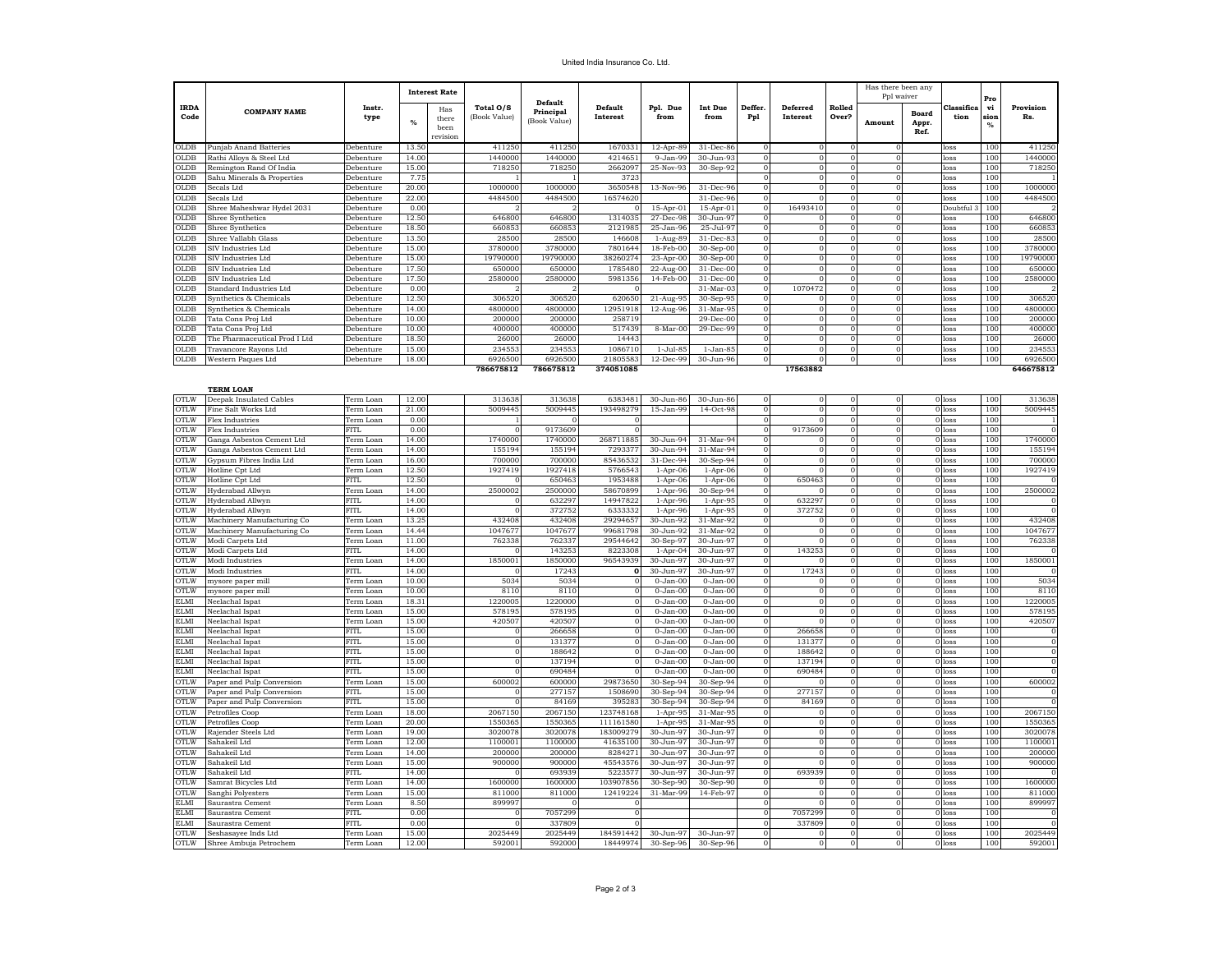## United India Insurance Co. Ltd.

|                            |                                                |                          |                | <b>Interest Rate</b>             |                           |                                      |                            |                              |                              |                             |                      |                 | Has there been any<br>Ppl waiver |                        |                     |                             |                  |
|----------------------------|------------------------------------------------|--------------------------|----------------|----------------------------------|---------------------------|--------------------------------------|----------------------------|------------------------------|------------------------------|-----------------------------|----------------------|-----------------|----------------------------------|------------------------|---------------------|-----------------------------|------------------|
| <b>IRDA</b><br>Code        | <b>COMPANY NAME</b>                            | Instr.<br>type           | %              | Has<br>there<br>heen<br>revision | Total O/S<br>(Book Value) | Default<br>Principal<br>(Book Value) | <b>Default</b><br>Interest | Ppl. Due<br>from             | <b>Int Due</b><br>from       | Deffer.<br>P <sub>p</sub> 1 | Deferred<br>Interest | Rolled<br>Over? | Amount                           | Board<br>Appr.<br>Ref. | Classifica<br>tion  | vi<br>sion<br>$\frac{9}{6}$ | Provision<br>Rs. |
| 0LDB                       | <b>Punjab Anand Batteries</b>                  | Debenture                | 13.50          |                                  | 411250                    | 411250                               | 1670331                    | $12-Apr-89$                  | 31-Dec-86                    |                             | $\Omega$             |                 |                                  |                        | loss                | 100                         | 411250           |
| OLDB                       | Rathi Alloys & Steel Ltd                       | Debenture                | 14.00          |                                  | 1440000                   | 1440000                              | 4214651                    | 9-Jan-99                     | 30-Jun-93                    |                             |                      |                 |                                  |                        | loss                | 100                         | 1440000          |
| <b>SICLE</b>               | Remington Rand Of India                        | Debenture                | 15.00          |                                  | 718250                    | 718250                               | 2662097                    | 25-Nov-93                    | 30-Sep-92                    |                             |                      |                 |                                  |                        | oss                 | 100                         | 718250           |
| <b>SLDB</b>                | Sahu Minerals & Properties                     | Debenture                | 7.75           |                                  |                           |                                      | 372                        |                              |                              |                             |                      |                 |                                  |                        | oss                 | 100                         |                  |
| OLDB                       | Secals Ltd                                     | Debenture                | 20.00          |                                  | 1000000                   | 1000000                              | 3650548                    | 13-Nov-96                    | 31-Dec-96                    |                             |                      |                 |                                  |                        | oss                 | 100                         | 1000000          |
| <b>SLDB</b>                | Secals Ltd                                     | Debenture                | 22.00          |                                  | 4484500                   | 4484500                              | 16574620                   |                              | 31-Dec-96                    |                             |                      |                 |                                  |                        | oss                 | 100                         | 4484500          |
| <b>OLDB</b><br><b>OLDB</b> | Shree Maheshwar Hydel 2031<br>Shree Synthetics | Debenture<br>Debenture   | 0.00<br>12.50  |                                  | 646800                    | 646800                               | 1314035                    | $15-Apr-01$<br>27-Dec-98     | $15-Apr-01$<br>30-Jun-97     |                             | 16493410             |                 |                                  |                        | Doubtful<br>loss    | 100<br>100                  | 646800           |
| 0LDB                       | Shree Synthetics                               | Debenture                | 18.50          |                                  | 660853                    | 66085                                | 2121985                    | 25-Jan-96                    | 25-Jul-97                    |                             | $\Omega$             | $\Omega$        | $\Omega$                         |                        | loss                | 100                         | 660853           |
| OLD <sub>R</sub>           | Shree Vallabh Glass                            | Debenture                | 13.50          |                                  | 28500                     | 28500                                | 146608                     | 1-Aug-89                     | 31-Dec-83                    | 0                           | $\Omega$             | $\Omega$        | $\Omega$                         |                        | loss                | 100                         | 28500            |
| OLDB                       | SIV Industries Ltd                             | Debenture                | 15.00          |                                  | 3780000                   | 3780000                              | 7801644                    | 18-Feb-00                    | $30-Sep-00$                  | 0                           | $\Omega$             | $\Omega$        | $\Omega$                         |                        | loss                | 100                         | 3780000          |
| <b>OLDB</b>                | SIV Industries Ltd                             | Debenture                | 15.00          |                                  | 19790000                  | 1979000                              | 38260274                   | 23-Apr-00                    | 30-Sep-00                    |                             | $\Omega$             | $\Omega$        | $\Omega$                         |                        | loss                | 100                         | 19790000         |
| OLDB                       | SIV Industries Ltd                             | Debenture                | 17.50          |                                  | 650000                    | 65000                                | 1785480                    | 22-Aug-00                    | 31-Dec-00                    | $\Omega$                    |                      |                 |                                  |                        | loss                | 100                         | 650000           |
| OLDB                       | SIV Industries Ltd                             | Debenture                | 17.50          |                                  | 2580000                   | 2580000                              | 598135                     | 14-Feb-0                     | 31-Dec-00                    |                             |                      |                 |                                  |                        | loss                | 100                         | 258000           |
| OLDB                       | Standard Industries Ltd                        | Debenture                | 0.00           |                                  |                           |                                      |                            |                              | $31-Mar-0$                   |                             | 1070472              |                 |                                  |                        | loss                | 100                         |                  |
| OLDB                       | Synthetics & Chemicals                         | Debenture                | 12.50          |                                  | 306520                    | 30652                                | 620650                     | 21-Aug-9                     | 30-Sep-95                    |                             |                      |                 |                                  |                        | loss                | 100                         | 306520           |
| $_{\text{OLDB}}$           | Synthetics & Chemicals                         | Debenture                | 14.00          |                                  | 4800000                   | 4800000                              | 12951918                   | 12-Aug-96                    | 31-Mar-95                    |                             |                      |                 |                                  |                        | loss                | 100                         | 4800000          |
| <b>DLDB</b>                | Tata Cons Proj Ltd                             | Debenture                | 10.00          |                                  | 200000                    | 20000                                | 258719                     |                              | $29-Dec-00$                  |                             | $\Omega$             | $\Omega$        | $\Omega$                         |                        | loss                | 100                         | 200000           |
| OLDB                       | Tata Cons Proi Ltd                             | Debenture                | 10.00          |                                  | 400000                    | 40000                                | 517439                     | $8-Mar-0$                    | $29 - Dec - 96$              |                             | $\Omega$             | $\Omega$        | $\Omega$                         |                        | loss                | 100                         | 400000           |
| OLDB                       | The Pharmaceutical Prod I Ltd                  | Debenture                | 18.50          |                                  | 26000                     | 2600                                 | 14443                      |                              |                              |                             |                      | $\Omega$        | $\Omega$                         |                        | loss                | 10                          | 26000            |
| OLDB                       | <b>Travancore Rayons Ltd</b>                   | Debenture                | 15.00          |                                  | 23455                     | 23455                                | 1086710                    | $1-Jul-85$                   | $1-Jan-85$                   |                             |                      |                 |                                  |                        | loss                | 100                         | 234553           |
| OLDB                       | Western Paques Ltd                             | Debenture                | 18.00          |                                  | 6926500                   | 6926500                              | 21805583                   | 12-Dec-99                    | 30-Jun-96                    |                             |                      |                 |                                  |                        | loss                | 100                         | 6926500          |
|                            |                                                |                          |                |                                  | 786675812                 | 786675812                            | 374051085                  |                              |                              |                             | 17563882             |                 |                                  |                        |                     |                             | 646675812        |
|                            | <b>TERM LOAN</b>                               |                          |                |                                  |                           |                                      |                            |                              |                              |                             |                      |                 |                                  |                        |                     |                             |                  |
| <b>OTLW</b>                | Deepak Insulated Cables                        | Term Loan                | 12.00          |                                  | 313638                    | 313638                               | 6383481                    | 30-Jun-86                    | 30-Jun-86                    |                             | $\Omega$             |                 |                                  |                        | 0 loss              | 100                         | 313638           |
| OTLW                       | Fine Salt Works Ltd                            | Term Loan                | 21.00          |                                  | 5009445                   | 5009445                              | 193498279                  | 15-Jan-99                    | 14-Oct-98                    |                             | $\Omega$             | $\Omega$        |                                  |                        | 0 loss              | 100                         | 5009445          |
| <b>OTLW</b>                | Flex Industries                                | Term Loan                | 0.00           |                                  |                           |                                      | $\Omega$                   |                              |                              | $\Omega$                    | $\Omega$             | $\Omega$        | $\Omega$                         |                        | 0 loss              | 100                         |                  |
| OTLW                       | Flex Industries                                | FITL                     | 0.00           |                                  | $\Omega$                  | 9173609                              | $\Omega$                   |                              |                              | $\Omega$                    | 9173609              | $\Omega$        | $\mathbf{0}$                     | 0 loss                 |                     | 100                         |                  |
| OTLW                       | Ganga Asbestos Cement Ltd                      | Term Loan                | 14.00          |                                  | 1740000                   | 174000                               | 268711885                  | 30-Jun-94                    | $31-Mar-9$                   | 0                           |                      |                 |                                  | 0 loss                 |                     | 100                         | 1740000          |
| OTLW                       | Ganga Asbestos Cement Ltd                      | Term Loar                | 14.00          |                                  | 15519                     | 15519                                | 729337                     | 30-Jun-9                     | 31-Mar-9                     |                             |                      |                 |                                  | 0 loss                 |                     | 100                         | 15519            |
| <b>OTLW</b>                | Gypsum Fibres India Ltd                        | Term Loan                | 16.00          |                                  | 70000                     | 70000                                | 8543653                    | 31-Dec-94                    | 30-Sep-9                     |                             |                      |                 |                                  |                        | 0 loss              | 100                         | 70000            |
| OTLW                       | Hotline Cpt Ltd                                | Term Loan                | 12.50          |                                  | 192741                    | 192741                               | 576654                     | $1-Apr-06$                   | $1-Apr-06$                   |                             |                      |                 |                                  |                        | 0 loss<br>$0$ loss  | 100                         | 192741           |
| OTLW<br><b>YTLW</b>        | Hotline Cpt Ltd<br>Hyderabad Allwyn            | <b>FITI</b><br>Term Loan | 12.50<br>14.00 |                                  | 2500002                   | 650463<br>2500000                    | 1953488<br>58670899        | $1-Apr-06$<br>$1-Apr-96$     | $1-Apr-06$<br>30-Sep-94      |                             | 650463               |                 |                                  |                        | 0 loss              | 100<br>100                  | 2500002          |
| <b>OTLW</b>                | Hyderabad Allwyn                               | FITI                     | 14.00          |                                  |                           | 63229                                | 14947822                   | $1-Apr-96$                   | $1-Apr-95$                   | $\Omega$                    | 632297               | $\Omega$        |                                  |                        | $0$ loss            | 100                         |                  |
| OTLW                       | Hyderabad Allwyn                               | FITI                     | 14.00          |                                  | $\Omega$                  | 372752                               | 6333332                    | $1-Apr-96$                   | $1-Apr-95$                   | $\Omega$                    | 372752               | $\overline{0}$  |                                  |                        | 0 loss              | 100                         |                  |
| OTLW                       | Machinery Manufacturing Co                     | Term Loan                | 13.25          |                                  | 432408                    | 432408                               | 29294657                   | 30-Jun-92                    | 31-Mar-92                    |                             |                      |                 |                                  |                        | 0 loss              | 100                         | 432408           |
| OTLW                       | Machinery Manufacturing Co                     | Term Loan                | 14.44          |                                  | 104767                    | 104767                               | 99681798                   | 30-Jun-92                    | 31-Mar-92                    |                             |                      |                 |                                  |                        | 0 loss              | 100                         | 1047677          |
| <b>OTLW</b>                | Modi Carpets Ltd                               | Ferm Loan                | 11.00          |                                  | 762338                    | 76233                                | 29544642                   | 30-Sep-97                    | 30-Jun-97                    |                             |                      |                 |                                  |                        | 0 loss              | 100                         | 762338           |
| <b>OTLW</b>                | Modi Carpets Ltd                               | FITL                     | 14.00          |                                  |                           | 143253                               | 8223308                    | $1-Apr-0$                    | 30-Jun-97                    |                             | 143253               |                 |                                  |                        | 0 loss              | 100                         |                  |
| OTLW                       | Modi Industries                                | Term Loan                | 14.00          |                                  | 1850001                   | 1850000                              | 96543939                   | 30-Jun-97                    | 30-Jun-97                    |                             |                      |                 |                                  |                        | 0 loss              | 100                         | 1850001          |
| <b>OTLW</b>                | Modi Industries                                | FITL                     | 14.00          |                                  |                           | 17243                                | 0                          | 30-Jun-97                    | 30-Jun-97                    |                             | 17243                |                 |                                  |                        | 0 loss              | 100                         |                  |
| <b>OTLW</b>                | mysore paper mill                              | <b>Term Loan</b>         | 10.00          |                                  | 5034                      | 5034                                 | $\mathbf{0}$               | $0$ -Jan- $00$               | $0 - Jan-00$                 |                             |                      |                 |                                  |                        | 0 loss              | 100                         | 5034             |
| OTLW                       | mysore paper mill                              | Term Loan                | 10.00          |                                  | 8110                      | 8110                                 | $\Omega$                   | $0 - Jan-00$                 | $0 - Jan-00$                 |                             | $\Omega$             | $\Omega$        |                                  |                        | 0 loss              | 100                         | 8110             |
| ELMI                       | Neelachal Ispat                                | Term Loan                | 18.31          |                                  | 122000                    | 1220000                              | $\mathbf{0}$               | $0 - Jan-00$                 | $0 - Jan-00$                 |                             | $\Omega$             | $\Omega$        | $\Omega$                         |                        | 0 loss              | 100                         | 1220005          |
| ELMI                       | Neelachal Ispat                                | Term Loan                | 15.00          |                                  | 578195                    | 57819                                | $\Omega$                   | $0$ -Jan- $00$               | $0 - Jan-00$                 | 0                           | $\Omega$             | $\Omega$        | $\Omega$                         |                        | 0 loss              | 100<br>100                  | 578195           |
| ELMI                       | Neelachal Ispat                                | Term Loan                | 15.00          |                                  | 420507                    | 42050                                | $\mathbf{0}$               | $0 - Jan-00$                 | $0 - Jan-00$                 |                             | $\Omega$             | $\Omega$        | $\Omega$                         |                        | 0 loss              | 100                         | 420507           |
| ELMI<br>ELMI               | Neelachal Ispat<br>Neelachal Ispat             | FITI<br>FITL             | 15.00<br>15.00 |                                  |                           | 26665<br>13137                       |                            | $0 - Jan-00$<br>$0 - Jan-00$ | $0 - Jan-00$<br>$0 - Jan-00$ |                             | 266658<br>13137      |                 |                                  |                        | 0 loss<br>0 loss    | 100                         |                  |
| <b>ELMI</b>                | Neelachal Ispat                                | FITL                     | 15.00          |                                  |                           | 18864                                |                            | $0 - Jan-00$                 | $0 - Jan-00$                 |                             | 18864                |                 |                                  |                        | 0 loss              | 100                         |                  |
| ELMI                       | Neelachal Ispat                                | <b>FITI</b>              | 15.00          |                                  |                           | 13719                                |                            | $0 - Jan-00$                 | $0 - Jan-00$                 |                             | 137194               |                 |                                  |                        | $0$ loss            | 100                         |                  |
| ELMI                       | Neelachal Ispat                                | <b>FITI</b>              | 15.00          |                                  |                           | 690484                               |                            | $0$ -Jan- $0$                | $0 - Jan - 00$               |                             | 690484               |                 |                                  |                        | $\overline{0}$ loss | 100                         |                  |
| <b>OTLW</b>                | Paper and Pulp Conversion                      | Term Loan                | 15.00          |                                  | 600002                    | 600000                               | 29873650                   | 30-Sep-94                    | $30$ -Sep-94                 |                             |                      | $\Omega$        |                                  |                        | 0 loss              | 100                         | 600002           |
| <b>OTLW</b>                | Paper and Pulp Conversion                      | FITI                     | 15.00          |                                  |                           | 277157                               | 1508690                    | 30-Sep-94                    | 30-Sep-94                    |                             | 277157               | $\Omega$        |                                  |                        | $0$ loss            | 100                         |                  |
| <b>OTLW</b>                | Paper and Pulp Conversion                      | <b>FITL</b>              | 15.00          |                                  |                           | 84169                                | 395283                     | 30-Sep-94                    | 30-Sep-94                    |                             | 84169                |                 |                                  |                        | 0 loss              | 100                         |                  |
| <b>OTLW</b>                | Petrofiles Coop                                | Ferm Loan                | 18.00          |                                  | 2067150                   | 2067150                              | 123748168                  | $1-Apr-9$                    | 31-Mar-9                     |                             |                      |                 |                                  |                        | 0 loss              | 100                         | 2067150          |
| <b>OTLW</b>                | Petrofiles Coop                                | Ferm Loan                | 20.00          |                                  | 155036                    | 1550365                              | 111161580                  | $1-Apr-9$                    | 31-Mar-95                    |                             |                      |                 |                                  |                        | 0 loss              | 100                         | 1550365          |
| <b>YTLW</b>                | Rajender Steels Ltd                            | Ferm Loan                | 19.00          |                                  | 302007                    | 302007                               | 183009279                  | 30-Jun-97                    | $30 - \frac{1}{110} - 97$    |                             |                      |                 |                                  |                        | $0$ loss            | 100                         | 3020078          |
| YTLW                       | Sahakeil Ltd                                   | Ferm Loan                | 12.00          |                                  | 110000                    | 110000                               | 41635100                   | 30-Jun-9'                    | 30-Jun-97                    |                             |                      |                 |                                  |                        | 0 loss              | 100                         | 1100001          |
| <b>TLW</b>                 | ahakeil Ltd                                    | Ferm Loan                | 14.00          |                                  | 200000                    | 20000                                | 8284271                    | 30-Jun-9'                    | 30-Jun-97                    |                             |                      |                 |                                  |                        | 0 loss              | 100                         | 200000           |
| <b>TLW</b>                 | ahakeil Ltd                                    | <b>Term Loan</b>         | 15.00          |                                  | 900000                    | 90000                                | 45543576                   | 30-Jun-97                    | 30-Jun-97                    |                             |                      |                 |                                  |                        | 0 loss              | 100                         | 900000           |
| <b>W.TC</b>                | Sahakeil Ltd                                   | <b>FITT</b>              | 14.00          |                                  |                           | 693939                               | 522357                     | 30-Jun-97                    | 30-Jun-97                    |                             | 693939               |                 |                                  |                        | 0 loss              | 100                         |                  |
| OTLW                       | Samrat Bicycles Ltd                            | Term Loan                | 14.00          |                                  | 1600000                   | 1600000                              | 103907856                  | 30-Sep-90                    | 30-Sep-90                    |                             | $\Omega$             | $\Omega$        | $\Omega$                         |                        | 0 loss              | 100                         | 1600000          |
| OTLW                       | Sanghi Polyesters                              | Term Loan                | 15.00          |                                  | 811000<br>899991          | 811000                               | 12419224                   | 31-Mar-99                    | 14-Feb-97                    | $\Omega$                    | $\Omega$             | $\Omega$        | $\Omega$                         |                        | 0 loss              | 100                         | 811000           |
| ELMI                       | Saurastra Cement                               | Term Loan                | 8.50           |                                  |                           |                                      |                            |                              |                              | $\Omega$                    | $\Omega$             | $\Omega$        | $\Omega$                         |                        | 0 loss              | 100                         | 899997           |
| <b>ELMI</b>                | Saurastra Cement                               | <b>FITL</b>              | 0.00           |                                  |                           | 7057299                              | $\Omega$                   |                              |                              |                             | 7057299              |                 |                                  |                        | 0 loss              | 100                         |                  |

1920 - 1920 - 1920 - 1920 - 1920 - 1920 - 1920 - 1920 - 1920 - 1920 - 1920 - 1920 - 1920 - 1920 - 1920 - 1920<br>1920 - 1920 - 1920 - 1920 - 1920 - 1920 - 1920 - 1920 - 1920 - 1920 - 1920 - 1920 - 1920 - 1920 - 1920 - 1920<br>19